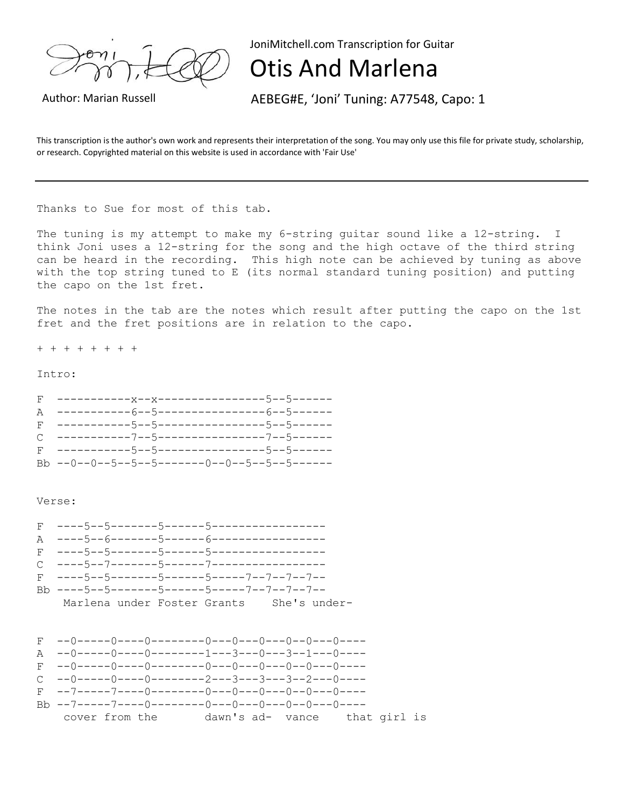

JoniMitchell.com Transcription for Guitar

## Otis And Marlena

Author: Marian Russell **AEBEG#E, 'Joni' Tuning: A77548, Capo: 1** 

This transcription is the author's own work and represents their interpretation of the song. You may only use this file for private study, scholarship, or research. Copyrighted material on this website is used in accordance with 'Fair Use'

Thanks to Sue for most of this tab.

The tuning is my attempt to make my 6-string quitar sound like a 12-string. I think Joni uses a 12-string for the song and the high octave of the third string can be heard in the recording. This high note can be achieved by tuning as above with the top string tuned to E (its normal standard tuning position) and putting the capo on the 1st fret.

The notes in the tab are the notes which result after putting the capo on the 1st fret and the fret positions are in relation to the capo.

+ + + + + + + +

Intro:

| Bb $--0--0--5--5--5-----0--0--5--5--5---5---1$ |  |
|------------------------------------------------|--|

Verse:

| A<br>F<br>$\mathcal{C}$ |  |                                              |  |  |  |
|-------------------------|--|----------------------------------------------|--|--|--|
|                         |  |                                              |  |  |  |
|                         |  |                                              |  |  |  |
|                         |  | Marlena under Foster Grants She's under-     |  |  |  |
| A                       |  |                                              |  |  |  |
|                         |  |                                              |  |  |  |
| F.                      |  |                                              |  |  |  |
| $\mathcal{C}$           |  |                                              |  |  |  |
|                         |  |                                              |  |  |  |
|                         |  |                                              |  |  |  |
|                         |  | cover from the dawn's ad- vance that girl is |  |  |  |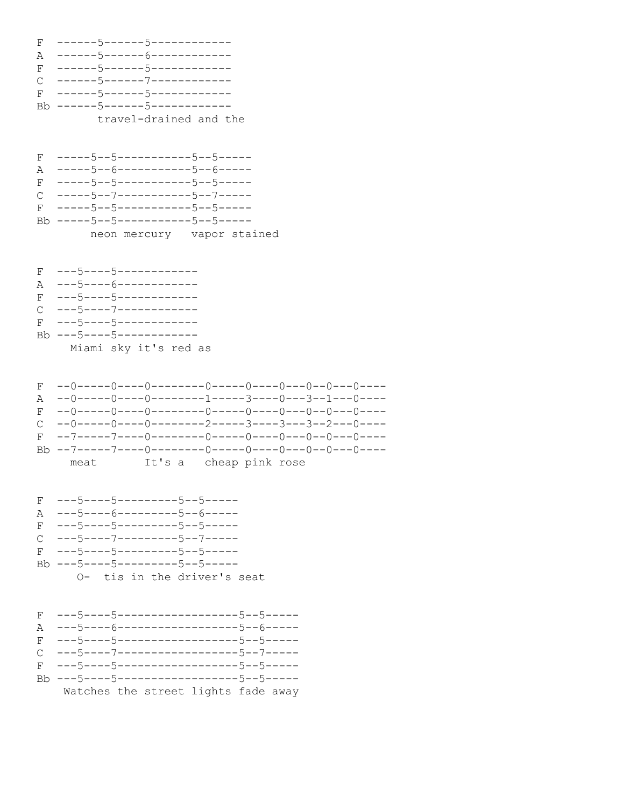```
F ------5------5------------
A ------5------6------------
F ------5------5------------
C ------5------7------------
F ------5------5------------
Bb ------5------5------------
        travel-drained and the
F -----5--5-----------5--5-----
A -----5--6-----------5--6-----
F -----5--5-----------5--5-----
\mathsf{C}-----5--7-----------5--7-----
F -----5--5-----------5--5-----
Bb -----5--5------------5--5-----
       neon mercury vapor stained
 ---5----5------------
FA ---5----6------------
 ---5----5------------
FC ---5----7------------
F ---5----5------------
Bb ---5----5------------
    Miami sky it's red as
\overline{\mathrm{F}}-0 -----0 ----0 ---------0 -----0 ----0 ---0 ---0 --0 --0 --0
 --0-----0----0--------1-----3----0---3--1---0----
\mathbb{A}FIt's a cheap pink rose
    meat
F ---5----5---------5--5-----
A ---5----6----------5--6-----
F = -5 - - -5 - - - - - - - -5 - -5 - - ----5----7---------5--7-----
\mathsf{C}F ---5----5---------5--5-----
Bb ---5----5----------5--5-----
     0- tis in the driver's seat
 ---5----5-------------------5--5-----
F---5----6-------------------5--6-----
\mathbb{A}---5----5-------------------5--5-----
\mathbf{F}^-\mathsf{C}---5----7------------------5--7-----
  ---5----5------------------5--5-----
F^-Bb ---5----5-------------------5--5-----
   Watches the street lights fade away
```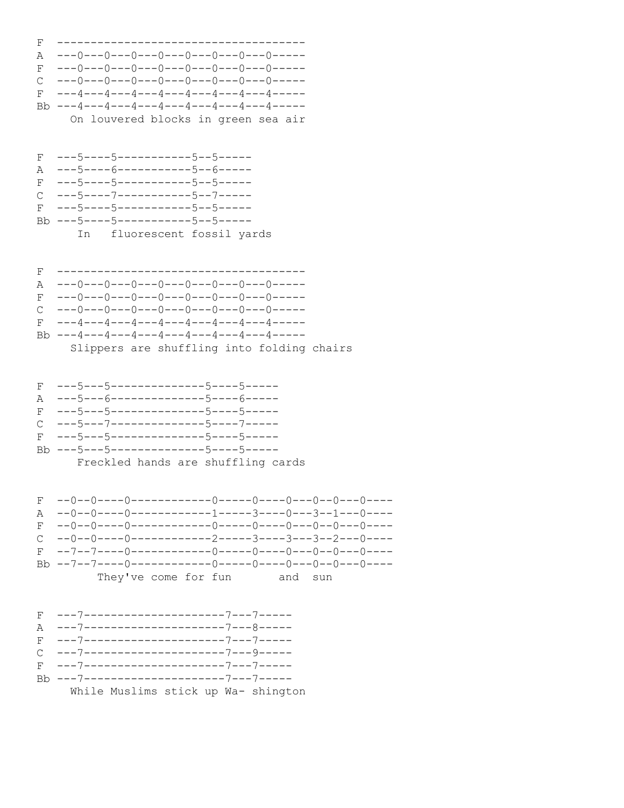